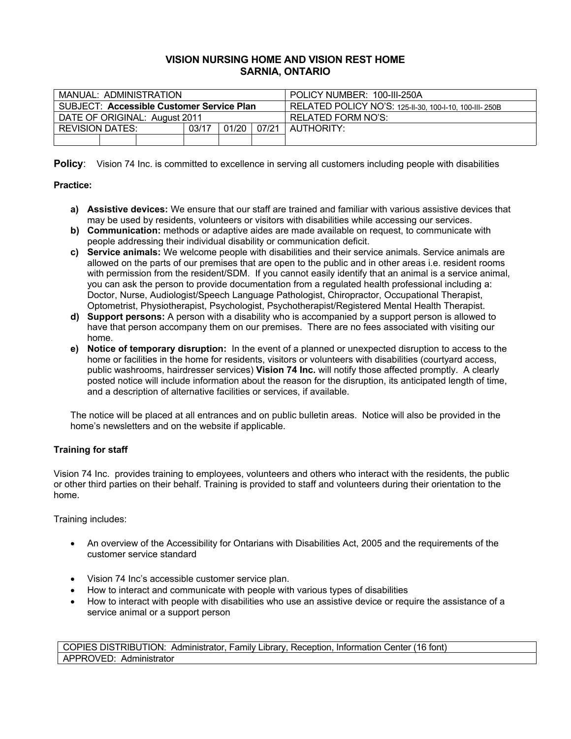# **VISION NURSING HOME AND VISION REST HOME SARNIA, ONTARIO**

| MANUAL: ADMINISTRATION                           |                                                   |  |  |  |  | POLICY NUMBER: 100-III-250A                             |
|--------------------------------------------------|---------------------------------------------------|--|--|--|--|---------------------------------------------------------|
| <b>SUBJECT: Accessible Customer Service Plan</b> |                                                   |  |  |  |  | RELATED POLICY NO'S: 125-11-30, 100-1-10, 100-111- 250B |
| DATE OF ORIGINAL: August 2011                    |                                                   |  |  |  |  | RELATED FORM NO'S:                                      |
|                                                  | 01/20<br>03/17<br>07/21<br><b>REVISION DATES:</b> |  |  |  |  | AUTHORITY:                                              |
|                                                  |                                                   |  |  |  |  |                                                         |

**Policy:** Vision 74 Inc. is committed to excellence in serving all customers including people with disabilities

## **Practice:**

- **a) Assistive devices:** We ensure that our staff are trained and familiar with various assistive devices that may be used by residents, volunteers or visitors with disabilities while accessing our services.
- **b) Communication:** methods or adaptive aides are made available on request, to communicate with people addressing their individual disability or communication deficit.
- **c) Service animals:** We welcome people with disabilities and their service animals. Service animals are allowed on the parts of our premises that are open to the public and in other areas i.e. resident rooms with permission from the resident/SDM. If you cannot easily identify that an animal is a service animal, you can ask the person to provide documentation from a regulated health professional including a: Doctor, Nurse, Audiologist/Speech Language Pathologist, Chiropractor, Occupational Therapist, Optometrist, Physiotherapist, Psychologist, Psychotherapist/Registered Mental Health Therapist.
- **d) Support persons:** A person with a disability who is accompanied by a support person is allowed to have that person accompany them on our premises. There are no fees associated with visiting our home.
- **e) Notice of temporary disruption:** In the event of a planned or unexpected disruption to access to the home or facilities in the home for residents, visitors or volunteers with disabilities (courtyard access, public washrooms, hairdresser services) **Vision 74 Inc.** will notify those affected promptly. A clearly posted notice will include information about the reason for the disruption, its anticipated length of time, and a description of alternative facilities or services, if available.

The notice will be placed at all entrances and on public bulletin areas. Notice will also be provided in the home's newsletters and on the website if applicable.

# **Training for staff**

Vision 74 Inc. provides training to employees, volunteers and others who interact with the residents, the public or other third parties on their behalf. Training is provided to staff and volunteers during their orientation to the home.

Training includes:

- An overview of the Accessibility for Ontarians with Disabilities Act, 2005 and the requirements of the customer service standard
- Vision 74 Inc's accessible customer service plan.
- How to interact and communicate with people with various types of disabilities
- How to interact with people with disabilities who use an assistive device or require the assistance of a service animal or a support person

COPIES DISTRIBUTION:Administrator, Family Library, Reception, Information Center (16 font) APPROVED: Administrator